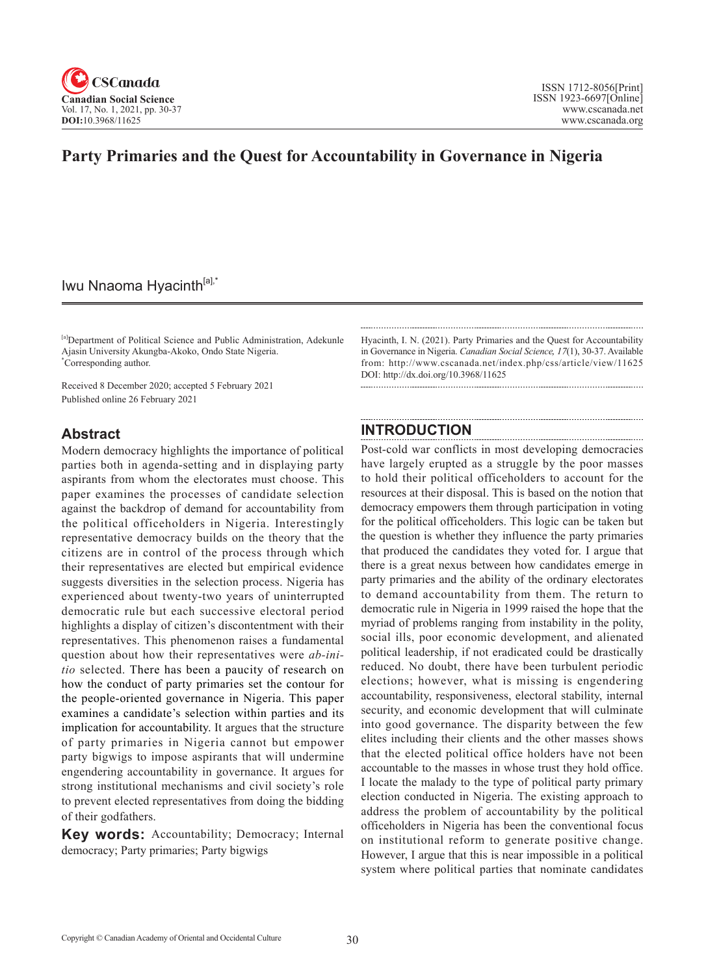

# **Party Primaries and the Quest for Accountability in Governance in Nigeria**

# Iwu Nnaoma Hyacinth<sup>[a],\*</sup>

[a]Department of Political Science and Public Administration, Adekunle Ajasin University Akungba-Akoko, Ondo State Nigeria. \* Corresponding author.

Received 8 December 2020; accepted 5 February 2021 Published online 26 February 2021

#### **Abstract**

Modern democracy highlights the importance of political parties both in agenda-setting and in displaying party aspirants from whom the electorates must choose. This paper examines the processes of candidate selection against the backdrop of demand for accountability from the political officeholders in Nigeria. Interestingly representative democracy builds on the theory that the citizens are in control of the process through which their representatives are elected but empirical evidence suggests diversities in the selection process. Nigeria has experienced about twenty-two years of uninterrupted democratic rule but each successive electoral period highlights a display of citizen's discontentment with their representatives. This phenomenon raises a fundamental question about how their representatives were *ab-initio* selected. There has been a paucity of research on how the conduct of party primaries set the contour for the people-oriented governance in Nigeria. This paper examines a candidate's selection within parties and its implication for accountability. It argues that the structure of party primaries in Nigeria cannot but empower party bigwigs to impose aspirants that will undermine engendering accountability in governance. It argues for strong institutional mechanisms and civil society's role to prevent elected representatives from doing the bidding of their godfathers.

**Key words:** Accountability; Democracy; Internal democracy; Party primaries; Party bigwigs

Hyacinth, I. N. (2021). Party Primaries and the Quest for Accountability in Governance in Nigeria. *Canadian Social Science*, <sup>17</sup>(1), 30-37. Available from: http://www.cscanada.net/index.php/css/article/view/11625 DOI: http://dx.doi.org/10.3968/11625

### **INTRODUCTION**

Post-cold war conflicts in most developing democracies have largely erupted as a struggle by the poor masses to hold their political officeholders to account for the resources at their disposal. This is based on the notion that democracy empowers them through participation in voting for the political officeholders. This logic can be taken but the question is whether they influence the party primaries that produced the candidates they voted for. I argue that there is a great nexus between how candidates emerge in party primaries and the ability of the ordinary electorates to demand accountability from them. The return to democratic rule in Nigeria in 1999 raised the hope that the myriad of problems ranging from instability in the polity, social ills, poor economic development, and alienated political leadership, if not eradicated could be drastically reduced. No doubt, there have been turbulent periodic elections; however, what is missing is engendering accountability, responsiveness, electoral stability, internal security, and economic development that will culminate into good governance. The disparity between the few elites including their clients and the other masses shows that the elected political office holders have not been accountable to the masses in whose trust they hold office. I locate the malady to the type of political party primary election conducted in Nigeria. The existing approach to address the problem of accountability by the political officeholders in Nigeria has been the conventional focus on institutional reform to generate positive change. However, I argue that this is near impossible in a political system where political parties that nominate candidates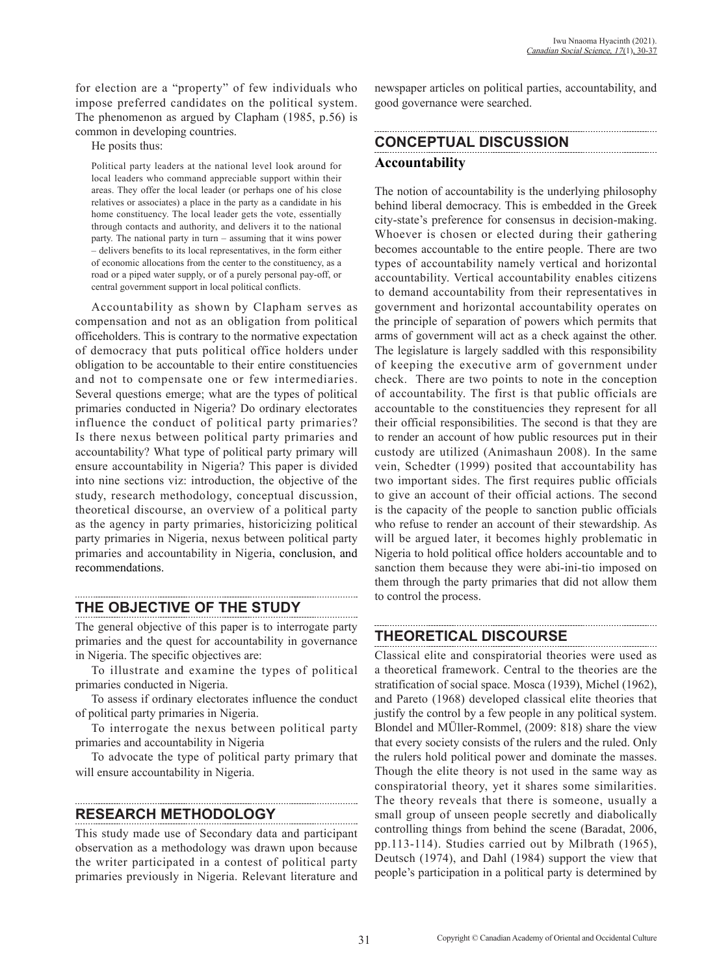for election are a "property" of few individuals who impose preferred candidates on the political system. The phenomenon as argued by Clapham (1985, p.56) is common in developing countries.

He posits thus:

Political party leaders at the national level look around for local leaders who command appreciable support within their areas. They offer the local leader (or perhaps one of his close relatives or associates) a place in the party as a candidate in his home constituency. The local leader gets the vote, essentially through contacts and authority, and delivers it to the national party. The national party in turn – assuming that it wins power – delivers benefits to its local representatives, in the form either of economic allocations from the center to the constituency, as a road or a piped water supply, or of a purely personal pay-off, or central government support in local political conflicts.

Accountability as shown by Clapham serves as compensation and not as an obligation from political officeholders. This is contrary to the normative expectation of democracy that puts political office holders under obligation to be accountable to their entire constituencies and not to compensate one or few intermediaries. Several questions emerge; what are the types of political primaries conducted in Nigeria? Do ordinary electorates influence the conduct of political party primaries? Is there nexus between political party primaries and accountability? What type of political party primary will ensure accountability in Nigeria? This paper is divided into nine sections viz: introduction, the objective of the study, research methodology, conceptual discussion, theoretical discourse, an overview of a political party as the agency in party primaries, historicizing political party primaries in Nigeria, nexus between political party primaries and accountability in Nigeria, conclusion, and recommendations.

## **THE OBJECTIVE OF THE STUDY**

The general objective of this paper is to interrogate party primaries and the quest for accountability in governance in Nigeria. The specific objectives are:

To illustrate and examine the types of political primaries conducted in Nigeria.

To assess if ordinary electorates influence the conduct of political party primaries in Nigeria.

To interrogate the nexus between political party primaries and accountability in Nigeria

To advocate the type of political party primary that will ensure accountability in Nigeria.

## **RESEARCH METHODOLOGY**

This study made use of Secondary data and participant observation as a methodology was drawn upon because the writer participated in a contest of political party primaries previously in Nigeria. Relevant literature and

newspaper articles on political parties, accountability, and good governance were searched.

# **CONCEPTUAL DISCUSSION Accountability**

The notion of accountability is the underlying philosophy behind liberal democracy. This is embedded in the Greek city-state's preference for consensus in decision-making. Whoever is chosen or elected during their gathering becomes accountable to the entire people. There are two types of accountability namely vertical and horizontal accountability. Vertical accountability enables citizens to demand accountability from their representatives in government and horizontal accountability operates on the principle of separation of powers which permits that arms of government will act as a check against the other. The legislature is largely saddled with this responsibility of keeping the executive arm of government under check. There are two points to note in the conception of accountability. The first is that public officials are accountable to the constituencies they represent for all their official responsibilities. The second is that they are to render an account of how public resources put in their custody are utilized (Animashaun 2008). In the same vein, Schedter (1999) posited that accountability has two important sides. The first requires public officials to give an account of their official actions. The second is the capacity of the people to sanction public officials who refuse to render an account of their stewardship. As will be argued later, it becomes highly problematic in Nigeria to hold political office holders accountable and to sanction them because they were abi-ini-tio imposed on them through the party primaries that did not allow them to control the process.

#### **THEORETICAL DISCOURSE**

Classical elite and conspiratorial theories were used as a theoretical framework. Central to the theories are the stratification of social space. Mosca (1939), Michel (1962), and Pareto (1968) developed classical elite theories that justify the control by a few people in any political system. Blondel and MÜller-Rommel, (2009: 818) share the view that every society consists of the rulers and the ruled. Only the rulers hold political power and dominate the masses. Though the elite theory is not used in the same way as conspiratorial theory, yet it shares some similarities. The theory reveals that there is someone, usually a small group of unseen people secretly and diabolically controlling things from behind the scene (Baradat, 2006, pp.113-114). Studies carried out by Milbrath (1965), Deutsch (1974), and Dahl (1984) support the view that people's participation in a political party is determined by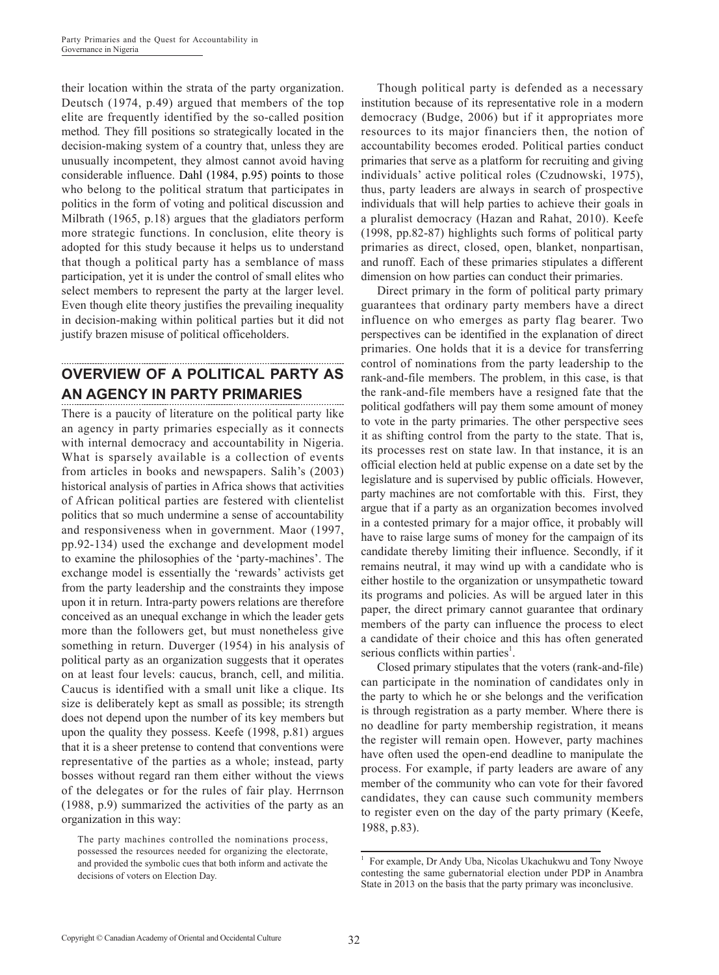their location within the strata of the party organization. Deutsch (1974, p.49) argued that members of the top elite are frequently identified by the so-called position method*.* They fill positions so strategically located in the decision-making system of a country that, unless they are unusually incompetent, they almost cannot avoid having considerable influence. Dahl (1984, p.95) points to those who belong to the political stratum that participates in politics in the form of voting and political discussion and Milbrath (1965, p.18) argues that the gladiators perform more strategic functions. In conclusion, elite theory is adopted for this study because it helps us to understand that though a political party has a semblance of mass participation, yet it is under the control of small elites who select members to represent the party at the larger level. Even though elite theory justifies the prevailing inequality in decision-making within political parties but it did not justify brazen misuse of political officeholders.

# **OVERVIEW OF A POLITICAL PARTY AS AN AGENCY IN PARTY PRIMARIES**

There is a paucity of literature on the political party like an agency in party primaries especially as it connects with internal democracy and accountability in Nigeria. What is sparsely available is a collection of events from articles in books and newspapers. Salih's (2003) historical analysis of parties in Africa shows that activities of African political parties are festered with clientelist politics that so much undermine a sense of accountability and responsiveness when in government. Maor (1997, pp.92-134) used the exchange and development model to examine the philosophies of the 'party-machines'. The exchange model is essentially the 'rewards' activists get from the party leadership and the constraints they impose upon it in return. Intra-party powers relations are therefore conceived as an unequal exchange in which the leader gets more than the followers get, but must nonetheless give something in return. Duverger (1954) in his analysis of political party as an organization suggests that it operates on at least four levels: caucus, branch, cell, and militia. Caucus is identified with a small unit like a clique. Its size is deliberately kept as small as possible; its strength does not depend upon the number of its key members but upon the quality they possess. Keefe (1998, p.81) argues that it is a sheer pretense to contend that conventions were representative of the parties as a whole; instead, party bosses without regard ran them either without the views of the delegates or for the rules of fair play. Herrnson (1988, p.9) summarized the activities of the party as an organization in this way:

Though political party is defended as a necessary institution because of its representative role in a modern democracy (Budge, 2006) but if it appropriates more resources to its major financiers then, the notion of accountability becomes eroded. Political parties conduct primaries that serve as a platform for recruiting and giving individuals' active political roles (Czudnowski, 1975), thus, party leaders are always in search of prospective individuals that will help parties to achieve their goals in a pluralist democracy (Hazan and Rahat, 2010). Keefe (1998, pp.82-87) highlights such forms of political party primaries as direct, closed, open, blanket, nonpartisan, and runoff. Each of these primaries stipulates a different dimension on how parties can conduct their primaries.

Direct primary in the form of political party primary guarantees that ordinary party members have a direct influence on who emerges as party flag bearer. Two perspectives can be identified in the explanation of direct primaries. One holds that it is a device for transferring control of nominations from the party leadership to the rank-and-file members. The problem, in this case, is that the rank-and-file members have a resigned fate that the political godfathers will pay them some amount of money to vote in the party primaries. The other perspective sees it as shifting control from the party to the state. That is, its processes rest on state law. In that instance, it is an official election held at public expense on a date set by the legislature and is supervised by public officials. However, party machines are not comfortable with this. First, they argue that if a party as an organization becomes involved in a contested primary for a major office, it probably will have to raise large sums of money for the campaign of its candidate thereby limiting their influence. Secondly, if it remains neutral, it may wind up with a candidate who is either hostile to the organization or unsympathetic toward its programs and policies. As will be argued later in this paper, the direct primary cannot guarantee that ordinary members of the party can influence the process to elect a candidate of their choice and this has often generated serious conflicts within parties<sup>1</sup>.

Closed primary stipulates that the voters (rank-and-file) can participate in the nomination of candidates only in the party to which he or she belongs and the verification is through registration as a party member. Where there is no deadline for party membership registration, it means the register will remain open. However, party machines have often used the open-end deadline to manipulate the process. For example, if party leaders are aware of any member of the community who can vote for their favored candidates, they can cause such community members to register even on the day of the party primary (Keefe, 1988, p.83).

The party machines controlled the nominations process, possessed the resources needed for organizing the electorate, and provided the symbolic cues that both inform and activate the decisions of voters on Election Day.

<sup>&</sup>lt;sup>1</sup> For example, Dr Andy Uba, Nicolas Ukachukwu and Tony Nwoye contesting the same gubernatorial election under PDP in Anambra State in 2013 on the basis that the party primary was inconclusive.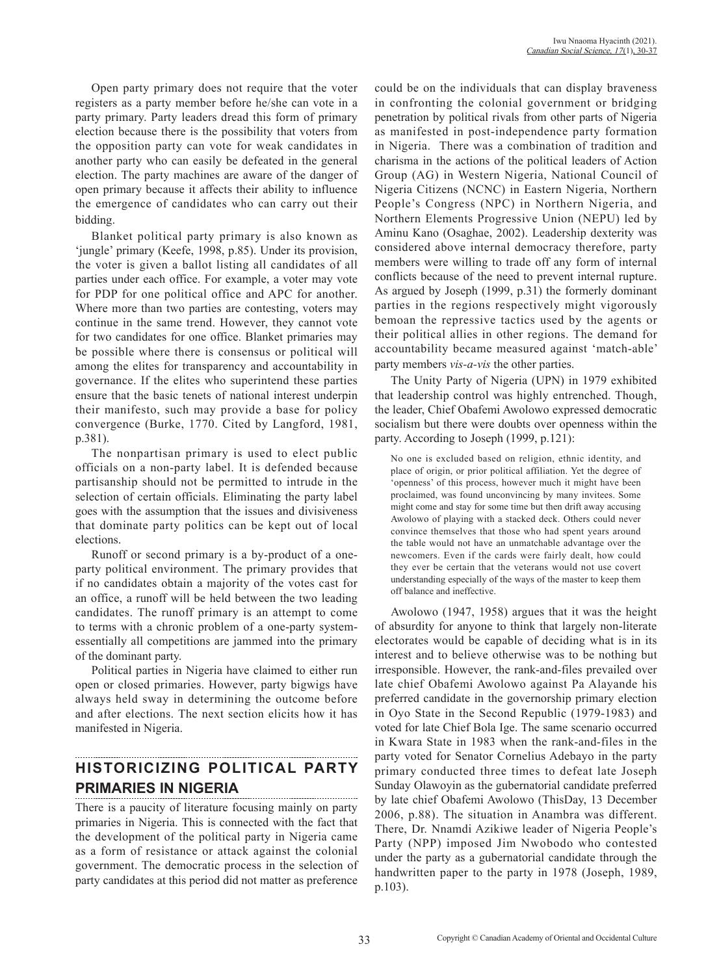Open party primary does not require that the voter registers as a party member before he/she can vote in a party primary. Party leaders dread this form of primary election because there is the possibility that voters from the opposition party can vote for weak candidates in another party who can easily be defeated in the general election. The party machines are aware of the danger of open primary because it affects their ability to influence the emergence of candidates who can carry out their bidding.

Blanket political party primary is also known as 'jungle' primary (Keefe, 1998, p.85). Under its provision, the voter is given a ballot listing all candidates of all parties under each office. For example, a voter may vote for PDP for one political office and APC for another. Where more than two parties are contesting, voters may continue in the same trend. However, they cannot vote for two candidates for one office. Blanket primaries may be possible where there is consensus or political will among the elites for transparency and accountability in governance. If the elites who superintend these parties ensure that the basic tenets of national interest underpin their manifesto, such may provide a base for policy convergence (Burke, 1770. Cited by Langford, 1981, p.381).

The nonpartisan primary is used to elect public officials on a non-party label. It is defended because partisanship should not be permitted to intrude in the selection of certain officials. Eliminating the party label goes with the assumption that the issues and divisiveness that dominate party politics can be kept out of local elections.

Runoff or second primary is a by-product of a oneparty political environment. The primary provides that if no candidates obtain a majority of the votes cast for an office, a runoff will be held between the two leading candidates. The runoff primary is an attempt to come to terms with a chronic problem of a one-party systemessentially all competitions are jammed into the primary of the dominant party.

Political parties in Nigeria have claimed to either run open or closed primaries. However, party bigwigs have always held sway in determining the outcome before and after elections. The next section elicits how it has manifested in Nigeria.

# **HISTORICIZING POLITICAL PARTY PRIMARIES IN NIGERIA**

There is a paucity of literature focusing mainly on party primaries in Nigeria. This is connected with the fact that the development of the political party in Nigeria came as a form of resistance or attack against the colonial government. The democratic process in the selection of party candidates at this period did not matter as preference could be on the individuals that can display braveness in confronting the colonial government or bridging penetration by political rivals from other parts of Nigeria as manifested in post-independence party formation in Nigeria. There was a combination of tradition and charisma in the actions of the political leaders of Action Group (AG) in Western Nigeria, National Council of Nigeria Citizens (NCNC) in Eastern Nigeria, Northern People's Congress (NPC) in Northern Nigeria, and Northern Elements Progressive Union (NEPU) led by Aminu Kano (Osaghae, 2002). Leadership dexterity was considered above internal democracy therefore, party members were willing to trade off any form of internal conflicts because of the need to prevent internal rupture. As argued by Joseph (1999, p.31) the formerly dominant parties in the regions respectively might vigorously bemoan the repressive tactics used by the agents or their political allies in other regions. The demand for accountability became measured against 'match-able' party members *vis-a-vis* the other parties.

The Unity Party of Nigeria (UPN) in 1979 exhibited that leadership control was highly entrenched. Though, the leader, Chief Obafemi Awolowo expressed democratic socialism but there were doubts over openness within the party. According to Joseph (1999, p.121):

No one is excluded based on religion, ethnic identity, and place of origin, or prior political affiliation. Yet the degree of 'openness' of this process, however much it might have been proclaimed, was found unconvincing by many invitees. Some might come and stay for some time but then drift away accusing Awolowo of playing with a stacked deck. Others could never convince themselves that those who had spent years around the table would not have an unmatchable advantage over the newcomers. Even if the cards were fairly dealt, how could they ever be certain that the veterans would not use covert understanding especially of the ways of the master to keep them off balance and ineffective.

Awolowo (1947, 1958) argues that it was the height of absurdity for anyone to think that largely non-literate electorates would be capable of deciding what is in its interest and to believe otherwise was to be nothing but irresponsible. However, the rank-and-files prevailed over late chief Obafemi Awolowo against Pa Alayande his preferred candidate in the governorship primary election in Oyo State in the Second Republic (1979-1983) and voted for late Chief Bola Ige. The same scenario occurred in Kwara State in 1983 when the rank-and-files in the party voted for Senator Cornelius Adebayo in the party primary conducted three times to defeat late Joseph Sunday Olawoyin as the gubernatorial candidate preferred by late chief Obafemi Awolowo (ThisDay, 13 December 2006, p.88). The situation in Anambra was different. There, Dr. Nnamdi Azikiwe leader of Nigeria People's Party (NPP) imposed Jim Nwobodo who contested under the party as a gubernatorial candidate through the handwritten paper to the party in 1978 (Joseph, 1989, p.103).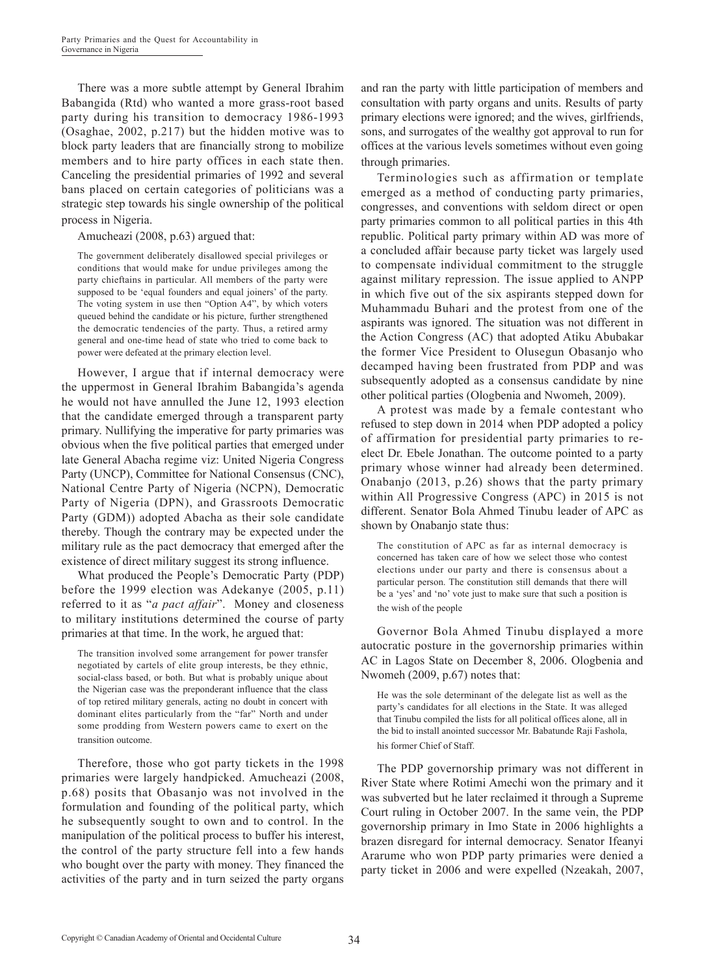There was a more subtle attempt by General Ibrahim Babangida (Rtd) who wanted a more grass-root based party during his transition to democracy 1986-1993 (Osaghae, 2002, p.217) but the hidden motive was to block party leaders that are financially strong to mobilize members and to hire party offices in each state then. Canceling the presidential primaries of 1992 and several bans placed on certain categories of politicians was a strategic step towards his single ownership of the political process in Nigeria.

Amucheazi (2008, p.63) argued that:

The government deliberately disallowed special privileges or conditions that would make for undue privileges among the party chieftains in particular. All members of the party were supposed to be 'equal founders and equal joiners' of the party. The voting system in use then "Option A4", by which voters queued behind the candidate or his picture, further strengthened the democratic tendencies of the party. Thus, a retired army general and one-time head of state who tried to come back to power were defeated at the primary election level.

However, I argue that if internal democracy were the uppermost in General Ibrahim Babangida's agenda he would not have annulled the June 12, 1993 election that the candidate emerged through a transparent party primary. Nullifying the imperative for party primaries was obvious when the five political parties that emerged under late General Abacha regime viz: United Nigeria Congress Party (UNCP), Committee for National Consensus (CNC), National Centre Party of Nigeria (NCPN), Democratic Party of Nigeria (DPN), and Grassroots Democratic Party (GDM)) adopted Abacha as their sole candidate thereby. Though the contrary may be expected under the military rule as the pact democracy that emerged after the existence of direct military suggest its strong influence.

What produced the People's Democratic Party (PDP) before the 1999 election was Adekanye (2005, p.11) referred to it as "*a pact affair*". Money and closeness to military institutions determined the course of party primaries at that time. In the work, he argued that:

The transition involved some arrangement for power transfer negotiated by cartels of elite group interests, be they ethnic, social-class based, or both. But what is probably unique about the Nigerian case was the preponderant influence that the class of top retired military generals, acting no doubt in concert with dominant elites particularly from the "far" North and under some prodding from Western powers came to exert on the transition outcome.

Therefore, those who got party tickets in the 1998 primaries were largely handpicked. Amucheazi (2008, p.68) posits that Obasanjo was not involved in the formulation and founding of the political party, which he subsequently sought to own and to control. In the manipulation of the political process to buffer his interest, the control of the party structure fell into a few hands who bought over the party with money. They financed the activities of the party and in turn seized the party organs and ran the party with little participation of members and consultation with party organs and units. Results of party primary elections were ignored; and the wives, girlfriends, sons, and surrogates of the wealthy got approval to run for offices at the various levels sometimes without even going through primaries.

Terminologies such as affirmation or template emerged as a method of conducting party primaries, congresses, and conventions with seldom direct or open party primaries common to all political parties in this 4th republic. Political party primary within AD was more of a concluded affair because party ticket was largely used to compensate individual commitment to the struggle against military repression. The issue applied to ANPP in which five out of the six aspirants stepped down for Muhammadu Buhari and the protest from one of the aspirants was ignored. The situation was not different in the Action Congress (AC) that adopted Atiku Abubakar the former Vice President to Olusegun Obasanjo who decamped having been frustrated from PDP and was subsequently adopted as a consensus candidate by nine other political parties (Ologbenia and Nwomeh, 2009).

A protest was made by a female contestant who refused to step down in 2014 when PDP adopted a policy of affirmation for presidential party primaries to reelect Dr. Ebele Jonathan. The outcome pointed to a party primary whose winner had already been determined. Onabanjo (2013, p.26) shows that the party primary within All Progressive Congress (APC) in 2015 is not different. Senator Bola Ahmed Tinubu leader of APC as shown by Onabanjo state thus:

The constitution of APC as far as internal democracy is concerned has taken care of how we select those who contest elections under our party and there is consensus about a particular person. The constitution still demands that there will be a 'yes' and 'no' vote just to make sure that such a position is the wish of the people

Governor Bola Ahmed Tinubu displayed a more autocratic posture in the governorship primaries within AC in Lagos State on December 8, 2006. Ologbenia and Nwomeh (2009, p.67) notes that:

He was the sole determinant of the delegate list as well as the party's candidates for all elections in the State. It was alleged that Tinubu compiled the lists for all political offices alone, all in the bid to install anointed successor Mr. Babatunde Raji Fashola, his former Chief of Staff.

The PDP governorship primary was not different in River State where Rotimi Amechi won the primary and it was subverted but he later reclaimed it through a Supreme Court ruling in October 2007. In the same vein, the PDP governorship primary in Imo State in 2006 highlights a brazen disregard for internal democracy. Senator Ifeanyi Ararume who won PDP party primaries were denied a party ticket in 2006 and were expelled (Nzeakah, 2007,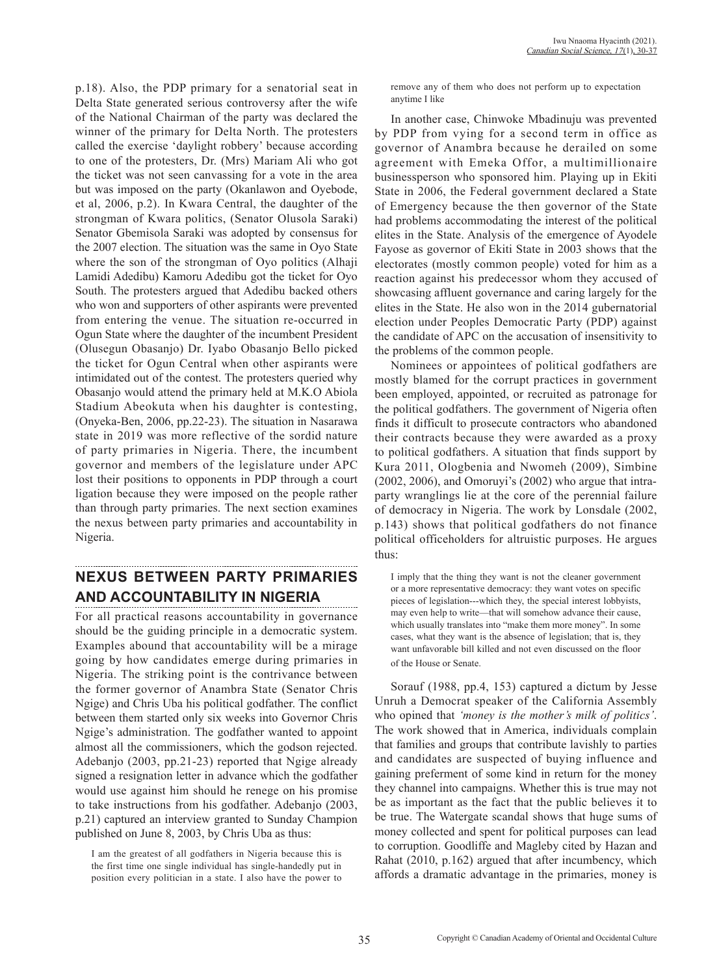p.18). Also, the PDP primary for a senatorial seat in Delta State generated serious controversy after the wife of the National Chairman of the party was declared the winner of the primary for Delta North. The protesters called the exercise 'daylight robbery' because according to one of the protesters, Dr. (Mrs) Mariam Ali who got the ticket was not seen canvassing for a vote in the area but was imposed on the party (Okanlawon and Oyebode, et al, 2006, p.2). In Kwara Central, the daughter of the strongman of Kwara politics, (Senator Olusola Saraki) Senator Gbemisola Saraki was adopted by consensus for the 2007 election. The situation was the same in Oyo State where the son of the strongman of Oyo politics (Alhaji Lamidi Adedibu) Kamoru Adedibu got the ticket for Oyo South. The protesters argued that Adedibu backed others who won and supporters of other aspirants were prevented from entering the venue. The situation re-occurred in Ogun State where the daughter of the incumbent President (Olusegun Obasanjo) Dr. Iyabo Obasanjo Bello picked the ticket for Ogun Central when other aspirants were intimidated out of the contest. The protesters queried why Obasanjo would attend the primary held at M.K.O Abiola Stadium Abeokuta when his daughter is contesting, (Onyeka-Ben, 2006, pp.22-23). The situation in Nasarawa state in 2019 was more reflective of the sordid nature of party primaries in Nigeria. There, the incumbent governor and members of the legislature under APC lost their positions to opponents in PDP through a court ligation because they were imposed on the people rather than through party primaries. The next section examines the nexus between party primaries and accountability in Nigeria.

## **NEXUS BETWEEN PARTY PRIMARIES AND ACCOUNTABILITY IN NIGERIA**

For all practical reasons accountability in governance should be the guiding principle in a democratic system. Examples abound that accountability will be a mirage going by how candidates emerge during primaries in Nigeria. The striking point is the contrivance between the former governor of Anambra State (Senator Chris Ngige) and Chris Uba his political godfather. The conflict between them started only six weeks into Governor Chris Ngige's administration. The godfather wanted to appoint almost all the commissioners, which the godson rejected. Adebanjo (2003, pp.21-23) reported that Ngige already signed a resignation letter in advance which the godfather would use against him should he renege on his promise to take instructions from his godfather. Adebanjo (2003, p.21) captured an interview granted to Sunday Champion published on June 8, 2003, by Chris Uba as thus:

I am the greatest of all godfathers in Nigeria because this is the first time one single individual has single-handedly put in position every politician in a state. I also have the power to remove any of them who does not perform up to expectation anytime I like

In another case, Chinwoke Mbadinuju was prevented by PDP from vying for a second term in office as governor of Anambra because he derailed on some agreement with Emeka Offor, a multimillionaire businessperson who sponsored him. Playing up in Ekiti State in 2006, the Federal government declared a State of Emergency because the then governor of the State had problems accommodating the interest of the political elites in the State. Analysis of the emergence of Ayodele Fayose as governor of Ekiti State in 2003 shows that the electorates (mostly common people) voted for him as a reaction against his predecessor whom they accused of showcasing affluent governance and caring largely for the elites in the State. He also won in the 2014 gubernatorial election under Peoples Democratic Party (PDP) against the candidate of APC on the accusation of insensitivity to the problems of the common people.

Nominees or appointees of political godfathers are mostly blamed for the corrupt practices in government been employed, appointed, or recruited as patronage for the political godfathers. The government of Nigeria often finds it difficult to prosecute contractors who abandoned their contracts because they were awarded as a proxy to political godfathers. A situation that finds support by Kura 2011, Ologbenia and Nwomeh (2009), Simbine (2002, 2006), and Omoruyi's (2002) who argue that intraparty wranglings lie at the core of the perennial failure of democracy in Nigeria. The work by Lonsdale (2002, p.143) shows that political godfathers do not finance political officeholders for altruistic purposes. He argues thus:

I imply that the thing they want is not the cleaner government or a more representative democracy: they want votes on specific pieces of legislation---which they, the special interest lobbyists, may even help to write—that will somehow advance their cause, which usually translates into "make them more money". In some cases, what they want is the absence of legislation; that is, they want unfavorable bill killed and not even discussed on the floor of the House or Senate.

Sorauf (1988, pp.4, 153) captured a dictum by Jesse Unruh a Democrat speaker of the California Assembly who opined that *'money is the mother's milk of politics'*. The work showed that in America, individuals complain that families and groups that contribute lavishly to parties and candidates are suspected of buying influence and gaining preferment of some kind in return for the money they channel into campaigns. Whether this is true may not be as important as the fact that the public believes it to be true. The Watergate scandal shows that huge sums of money collected and spent for political purposes can lead to corruption. Goodliffe and Magleby cited by Hazan and Rahat (2010, p.162) argued that after incumbency, which affords a dramatic advantage in the primaries, money is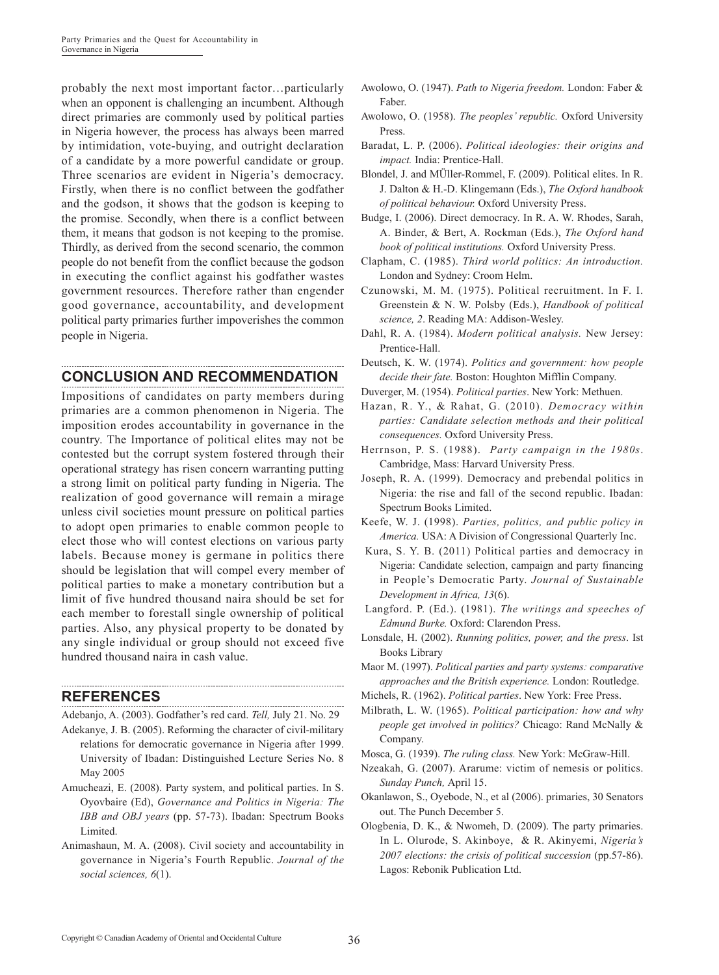probably the next most important factor…particularly when an opponent is challenging an incumbent. Although direct primaries are commonly used by political parties in Nigeria however, the process has always been marred by intimidation, vote-buying, and outright declaration of a candidate by a more powerful candidate or group. Three scenarios are evident in Nigeria's democracy. Firstly, when there is no conflict between the godfather and the godson, it shows that the godson is keeping to the promise. Secondly, when there is a conflict between them, it means that godson is not keeping to the promise. Thirdly, as derived from the second scenario, the common people do not benefit from the conflict because the godson in executing the conflict against his godfather wastes government resources. Therefore rather than engender good governance, accountability, and development political party primaries further impoverishes the common people in Nigeria.

## **CONCLUSION AND RECOMMENDATION**

Impositions of candidates on party members during primaries are a common phenomenon in Nigeria. The imposition erodes accountability in governance in the country. The Importance of political elites may not be contested but the corrupt system fostered through their operational strategy has risen concern warranting putting a strong limit on political party funding in Nigeria. The realization of good governance will remain a mirage unless civil societies mount pressure on political parties to adopt open primaries to enable common people to elect those who will contest elections on various party labels. Because money is germane in politics there should be legislation that will compel every member of political parties to make a monetary contribution but a limit of five hundred thousand naira should be set for each member to forestall single ownership of political parties. Also, any physical property to be donated by any single individual or group should not exceed five hundred thousand naira in cash value.

#### **REFERENCES**

Adebanjo, A. (2003). Godfather's red card. *Tell,* July 21. No. 29

- Adekanye, J. B. (2005). Reforming the character of civil-military relations for democratic governance in Nigeria after 1999. University of Ibadan: Distinguished Lecture Series No. 8 May 2005
- Amucheazi, E. (2008). Party system, and political parties. In S. Oyovbaire (Ed), *Governance and Politics in Nigeria: The IBB and OBJ years* (pp. 57-73). Ibadan: Spectrum Books Limited.
- Animashaun, M. A. (2008). Civil society and accountability in governance in Nigeria's Fourth Republic. *Journal of the social sciences, 6*(1).
- Awolowo, O. (1947). *Path to Nigeria freedom.* London: Faber & Faber.
- Awolowo, O. (1958). *The peoples' republic.* Oxford University Press.
- Baradat, L. P. (2006). *Political ideologies: their origins and impact.* India: Prentice-Hall.
- Blondel, J. and MÜller-Rommel, F. (2009). Political elites. In R. J. Dalton & H.-D. Klingemann (Eds.), *The Oxford handbook of political behaviour.* Oxford University Press.
- Budge, I. (2006). Direct democracy. In R. A. W. Rhodes, Sarah, A. Binder, & Bert, A. Rockman (Eds.), *The Oxford hand book of political institutions.* Oxford University Press.
- Clapham, C. (1985). *Third world politics: An introduction.* London and Sydney: Croom Helm.
- Czunowski, M. M. (1975). Political recruitment. In F. I. Greenstein & N. W. Polsby (Eds.), *Handbook of political science, 2*. Reading MA: Addison-Wesley.
- Dahl, R. A. (1984). *Modern political analysis.* New Jersey: Prentice-Hall.
- Deutsch, K. W. (1974). *Politics and government: how people decide their fate.* Boston: Houghton Mifflin Company.
- Duverger, M. (1954). *Political parties*. New York: Methuen.
- Hazan, R. Y., & Rahat, G. (2010). *Democracy within parties: Candidate selection methods and their political consequences.* Oxford University Press.
- Herrnson, P. S. (1988). *Party campaign in the 1980s*. Cambridge, Mass: Harvard University Press.
- Joseph, R. A. (1999). Democracy and prebendal politics in Nigeria: the rise and fall of the second republic. Ibadan: Spectrum Books Limited.
- Keefe, W. J. (1998). *Parties, politics, and public policy in America.* USA: A Division of Congressional Quarterly Inc.
- Kura, S. Y. B. (2011) Political parties and democracy in Nigeria: Candidate selection, campaign and party financing in People's Democratic Party. *Journal of Sustainable Development in Africa, 13*(6).
- Langford. P. (Ed.). (1981). *The writings and speeches of Edmund Burke.* Oxford: Clarendon Press.
- Lonsdale, H. (2002). *Running politics, power, and the press*. Ist Books Library
- Maor M. (1997). *Political parties and party systems: comparative approaches and the British experience.* London: Routledge.
- Michels, R. (1962). *Political parties*. New York: Free Press.
- Milbrath, L. W. (1965). *Political participation: how and why people get involved in politics?* Chicago: Rand McNally & Company.
- Mosca, G. (1939). *The ruling class.* New York: McGraw-Hill.
- Nzeakah, G. (2007). Ararume: victim of nemesis or politics. *Sunday Punch,* April 15.
- Okanlawon, S., Oyebode, N., et al (2006). primaries, 30 Senators out. The Punch December 5.
- Ologbenia, D. K., & Nwomeh, D. (2009). The party primaries. In L. Olurode, S. Akinboye, & R. Akinyemi, *Nigeria's 2007 elections: the crisis of political succession* (pp.57-86). Lagos: Rebonik Publication Ltd.